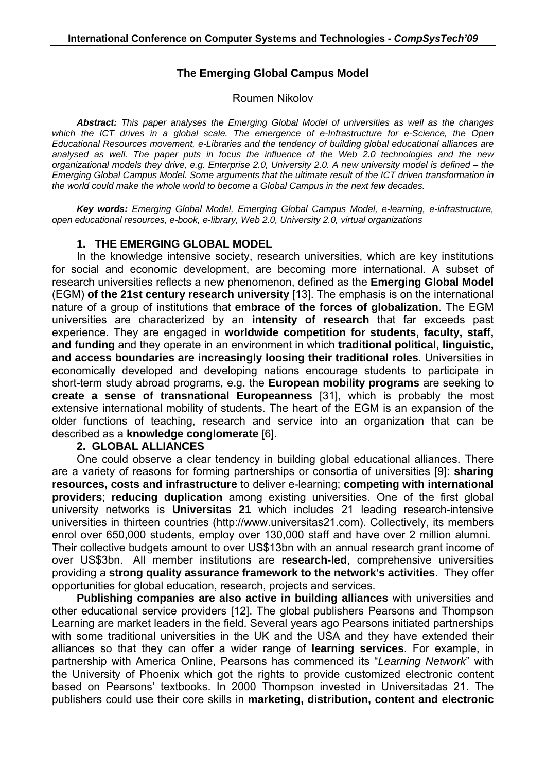## **The Emerging Global Campus Model**

#### Roumen Nikolov

*Abstract: This paper analyses the Emerging Global Model of universities as well as the changes which the ICT drives in a global scale. The emergence of e-Infrastructure for e-Science, the Open Educational Resources movement, e-Libraries and the tendency of building global educational alliances are analysed as well. The paper puts in focus the influence of the Web 2.0 technologies and the new organizational models they drive, e.g. Enterprise 2.0, University 2.0. A new university model is defined – the Emerging Global Campus Model. Some arguments that the ultimate result of the ICT driven transformation in the world could make the whole world to become a Global Campus in the next few decades.* 

*Key words: Emerging Global Model, Emerging Global Campus Model, e-learning, e-infrastructure, open educational resources, e-book, e-library, Web 2.0, University 2.0, virtual organizations* 

#### **1. THE EMERGING GLOBAL MODEL**

In the knowledge intensive society, research universities, which are key institutions for social and economic development, are becoming more international. A subset of research universities reflects a new phenomenon, defined as the **Emerging Global Model** (EGM) **of the 21st century research university** [13]. The emphasis is on the international nature of a group of institutions that **embrace of the forces of globalization**. The EGM universities are characterized by an **intensity of research** that far exceeds past experience. They are engaged in **worldwide competition for students, faculty, staff, and funding** and they operate in an environment in which **traditional political, linguistic, and access boundaries are increasingly loosing their traditional roles**. Universities in economically developed and developing nations encourage students to participate in short-term study abroad programs, e.g. the **European mobility programs** are seeking to **create a sense of transnational Europeanness** [31], which is probably the most extensive international mobility of students. The heart of the EGM is an expansion of the older functions of teaching, research and service into an organization that can be described as a **knowledge conglomerate** [6].

#### **2. GLOBAL ALLIANCES**

One could observe a clear tendency in building global educational alliances. There are a variety of reasons for forming partnerships or consortia of universities [9]: **sharing resources, costs and infrastructure** to deliver e-learning; **competing with international providers**; **reducing duplication** among existing universities. One of the first global university networks is **Universitas 21** which includes 21 leading research-intensive universities in thirteen countries (http://www.universitas21.com). Collectively, its members enrol over 650,000 students, employ over 130,000 staff and have over 2 million alumni. Their collective budgets amount to over US\$13bn with an annual research grant income of over US\$3bn. All member institutions are **research-led**, comprehensive universities providing a **strong quality assurance framework to the network's activities**. They offer opportunities for global education, research, projects and services.

**Publishing companies are also active in building alliances** with universities and other educational service providers [12]. The global publishers Pearsons and Thompson Learning are market leaders in the field. Several years ago Pearsons initiated partnerships with some traditional universities in the UK and the USA and they have extended their alliances so that they can offer a wider range of **learning services**. For example, in partnership with America Online, Pearsons has commenced its "*Learning Network*" with the University of Phoenix which got the rights to provide customized electronic content based on Pearsons' textbooks. In 2000 Thompson invested in Universitadas 21. The publishers could use their core skills in **marketing, distribution, content and electronic**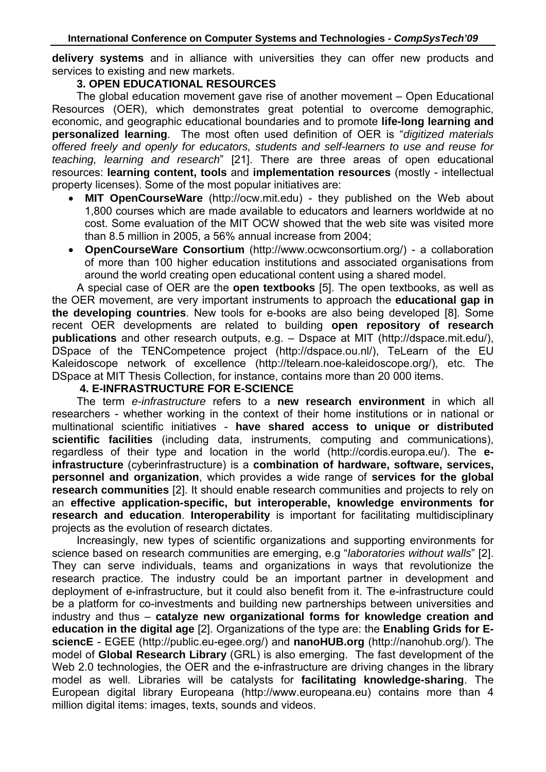**delivery systems** and in alliance with universities they can offer new products and services to existing and new markets.

## **3. OPEN EDUCATIONAL RESOURCES**

The global education movement gave rise of another movement – Open Educational Resources (OER), which demonstrates great potential to overcome demographic, economic, and geographic educational boundaries and to promote **life-long learning and personalized learning**. The most often used definition of OER is "*digitized materials offered freely and openly for educators, students and self-learners to use and reuse for teaching, learning and research*" [21]. There are three areas of open educational resources: **learning content, tools** and **implementation resources** (mostly - intellectual property licenses). Some of the most popular initiatives are:

- **MIT OpenCourseWare** (http://ocw.mit.edu) they published on the Web about 1,800 courses which are made available to educators and learners worldwide at no cost. Some evaluation of the MIT OCW showed that the web site was visited more than 8.5 million in 2005, a 56% annual increase from 2004;
- **OpenCourseWare Consortium** (http://www.ocwconsortium.org/) a collaboration of more than 100 higher education institutions and associated organisations from around the world creating open educational content using a shared model.

A special case of OER are the **open textbooks** [5]. The open textbooks, as well as the OER movement, are very important instruments to approach the **educational gap in the developing countries**. New tools for e-books are also being developed [8]. Some recent OER developments are related to building **open repository of research publications** and other research outputs, e.g. – Dspace at MIT (http://dspace.mit.edu/), DSpace of the TENCompetence project (http://dspace.ou.nl/), TeLearn of the EU Kaleidoscope network of excellence (http://telearn.noe-kaleidoscope.org/), etc. The DSpace at MIT Thesis Collection, for instance, contains more than 20 000 items.

### **4. E-INFRASTRUCTURE FOR E-SCIENCE**

The term *e-infrastructure* refers to a **new research environment** in which all researchers - whether working in the context of their home institutions or in national or multinational scientific initiatives - **have shared access to unique or distributed scientific facilities** (including data, instruments, computing and communications), regardless of their type and location in the world (http://cordis.europa.eu/). The **einfrastructure** (cyberinfrastructure) is a **combination of hardware, software, services, personnel and organization**, which provides a wide range of **services for the global research communities** [2]. It should enable research communities and projects to rely on an **effective application-specific, but interoperable, knowledge environments for research and education**. **Interoperability** is important for facilitating multidisciplinary projects as the evolution of research dictates.

Increasingly, new types of scientific organizations and supporting environments for science based on research communities are emerging, e.g "*laboratories without walls*" [2]. They can serve individuals, teams and organizations in ways that revolutionize the research practice. The industry could be an important partner in development and deployment of e-infrastructure, but it could also benefit from it. The e-infrastructure could be a platform for co-investments and building new partnerships between universities and industry and thus – **catalyze new organizational forms for knowledge creation and education in the digital age** [2]. Organizations of the type are: the **Enabling Grids for EsciencE** - EGEE (http://public.eu-egee.org/) and **nanoHUB.org** (http://nanohub.org/). The model of **Global Research Library** (GRL) is also emerging. The fast development of the Web 2.0 technologies, the OER and the e-infrastructure are driving changes in the library model as well. Libraries will be catalysts for **facilitating knowledge-sharing**. The European digital library Europeana (http://www.europeana.eu) contains more than 4 million digital items: images, texts, sounds and videos.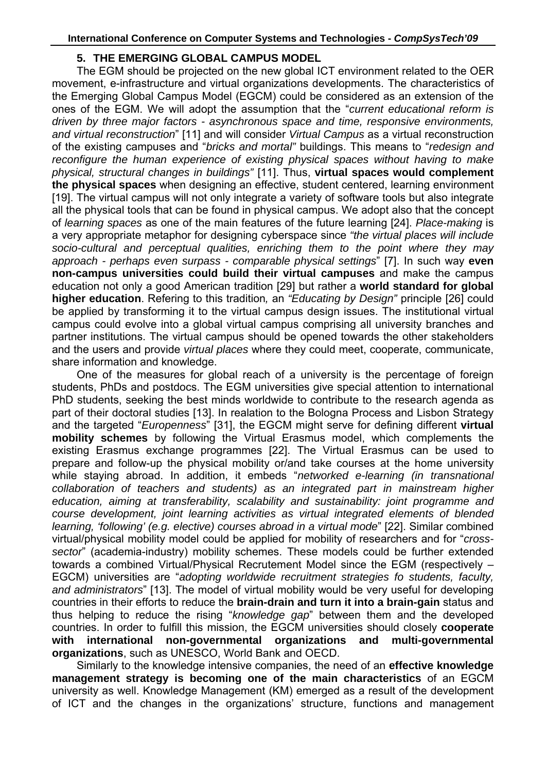### **5. THE EMERGING GLOBAL CAMPUS MODEL**

The EGM should be projected on the new global ICT environment related to the OER movement, e-infrastructure and virtual organizations developments. The characteristics of the Emerging Global Campus Model (EGCM) could be considered as an extension of the ones of the EGM. We will adopt the assumption that the "*current educational reform is driven by three major factors - asynchronous space and time, responsive environments, and virtual reconstruction*" [11] and will consider *Virtual Campus* as a virtual reconstruction of the existing campuses and "*bricks and mortal"* buildings. This means to "*redesign and reconfigure the human experience of existing physical spaces without having to make physical, structural changes in buildings"* [11]. Thus, **virtual spaces would complement the physical spaces** when designing an effective, student centered, learning environment [19]. The virtual campus will not only integrate a variety of software tools but also integrate all the physical tools that can be found in physical campus. We adopt also that the concept of *learning spaces* as one of the main features of the future learning [24]. *Place-making* is a very appropriate metaphor for designing cyberspace since *"the virtual places will include socio-cultural and perceptual qualities, enriching them to the point where they may approach - perhaps even surpass - comparable physical settings*" [7]. In such way **even non-campus universities could build their virtual campuses** and make the campus education not only a good American tradition [29] but rather a **world standard for global higher education**. Refering to this tradition*,* an *"Educating by Design"* principle [26] could be applied by transforming it to the virtual campus design issues. The institutional virtual campus could evolve into a global virtual campus comprising all university branches and partner institutions. The virtual campus should be opened towards the other stakeholders and the users and provide *virtual places* where they could meet, cooperate, communicate, share information and knowledge.

One of the measures for global reach of a university is the percentage of foreign students, PhDs and postdocs. The EGM universities give special attention to international PhD students, seeking the best minds worldwide to contribute to the research agenda as part of their doctoral studies [13]. In realation to the Bologna Process and Lisbon Strategy and the targeted "*Europenness*" [31], the EGCM might serve for defining different **virtual mobility schemes** by following the Virtual Erasmus model, which complements the existing Erasmus exchange programmes [22]. The Virtual Erasmus can be used to prepare and follow-up the physical mobility or/and take courses at the home university while staying abroad. In addition, it embeds "*networked e-learning (in transnational collaboration of teachers and students) as an integrated part in mainstream higher education, aiming at transferability, scalability and sustainability: joint programme and course development, joint learning activities as virtual integrated elements of blended learning, 'following' (e.g. elective) courses abroad in a virtual mode*" [22]. Similar combined virtual/physical mobility model could be applied for mobility of researchers and for "*crosssector*" (academia-industry) mobility schemes. These models could be further extended towards a combined Virtual/Physical Recrutement Model since the EGM (respectively – EGCM) universities are "*adopting worldwide recruitment strategies fo students, faculty, and administrators*" [13]. The model of virtual mobility would be very useful for developing countries in their efforts to reduce the **brain-drain and turn it into a brain-gain** status and thus helping to reduce the rising "*knowledge gap*" between them and the developed countries. In order to fulfill this mission, the EGCM universities should closely **cooperate with international non-governmental organizations and multi-governmental organizations**, such as UNESCO, World Bank and OECD.

Similarly to the knowledge intensive companies, the need of an **effective knowledge management strategy is becoming one of the main characteristics** of an EGCM university as well. Knowledge Management (KM) emerged as a result of the development of ICT and the changes in the organizations' structure, functions and management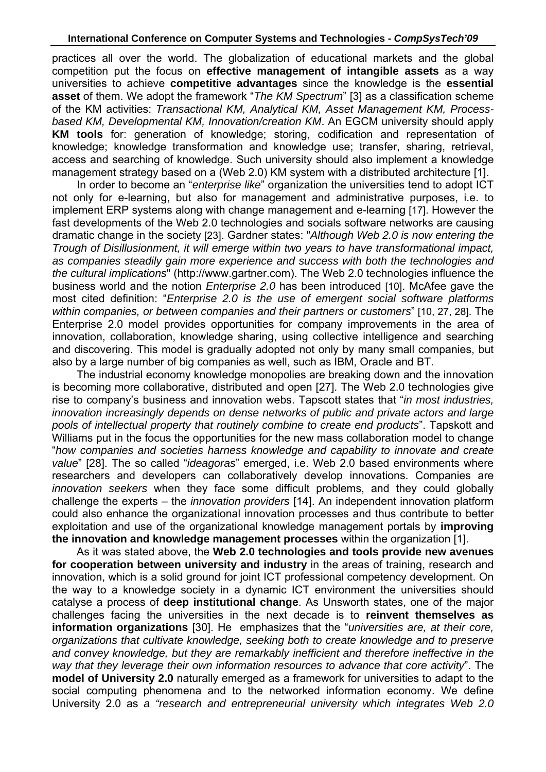practices all over the world. The globalization of educational markets and the global competition put the focus on **effective management of intangible assets** as a way universities to achieve **competitive advantages** since the knowledge is the **essential asset** of them. We adopt the framework "*The KM Spectrum*" [3] as a classification scheme of the KM activities: *Transactional KM, Analytical KM, Asset Management KM, Processbased KM, Developmental KM, Innovation/creation KM*. An EGCM university should apply **KM tools** for: generation of knowledge; storing, codification and representation of knowledge; knowledge transformation and knowledge use; transfer, sharing, retrieval, access and searching of knowledge. Such university should also implement a knowledge management strategy based on a (Web 2.0) KM system with a distributed architecture [1].

In order to become an "*enterprise like*" organization the universities tend to adopt ICT not only for e-learning, but also for management and administrative purposes, i.e. to implement ERP systems along with change management and e-learning [17]. However the fast developments of the Web 2.0 technologies and socials software networks are causing dramatic change in the society [23]. Gardner states: "*Although Web 2.0 is now entering the Trough of Disillusionment, it will emerge within two years to have transformational impact, as companies steadily gain more experience and success with both the technologies and the cultural implications*" (http://www.gartner.com). The Web 2.0 technologies influence the business world and the notion *Enterprise 2.0* has been introduced [10]. McAfee gave the most cited definition: "*Enterprise 2.0 is the use of emergent social software platforms within companies, or between companies and their partners or customers*" [10, 27, 28]. The Enterprise 2.0 model provides opportunities for company improvements in the area of innovation, collaboration, knowledge sharing, using collective intelligence and searching and discovering. This model is gradually adopted not only by many small companies, but also by a large number of big companies as well, such as IBM, Oracle and BT.

The industrial economy knowledge monopolies are breaking down and the innovation is becoming more collaborative, distributed and open [27]. The Web 2.0 technologies give rise to company's business and innovation webs. Tapscott states that "*in most industries, innovation increasingly depends on dense networks of public and private actors and large pools of intellectual property that routinely combine to create end products*". Tapskott and Williams put in the focus the opportunities for the new mass collaboration model to change "*how companies and societies harness knowledge and capability to innovate and create value*" [28]. The so called "*ideagoras*" emerged, i.e. Web 2.0 based environments where researchers and developers can collaboratively develop innovations. Companies are *innovation seekers* when they face some difficult problems, and they could globally challenge the experts – the *innovation providers* [14]. An independent innovation platform could also enhance the organizational innovation processes and thus contribute to better exploitation and use of the organizational knowledge management portals by **improving the innovation and knowledge management processes** within the organization [1].

As it was stated above, the **Web 2.0 technologies and tools provide new avenues for cooperation between university and industry** in the areas of training, research and innovation, which is a solid ground for joint ICT professional competency development. On the way to a knowledge society in a dynamic ICT environment the universities should catalyse a process of **deep institutional change**. As Unsworth states, one of the major challenges facing the universities in the next decade is to **reinvent themselves as information organizations** [30]. He emphasizes that the "*universities are, at their core, organizations that cultivate knowledge, seeking both to create knowledge and to preserve and convey knowledge, but they are remarkably inefficient and therefore ineffective in the way that they leverage their own information resources to advance that core activity*". The **model of University 2.0** naturally emerged as a framework for universities to adapt to the social computing phenomena and to the networked information economy. We define University 2.0 as *a "research and entrepreneurial university which integrates Web 2.0*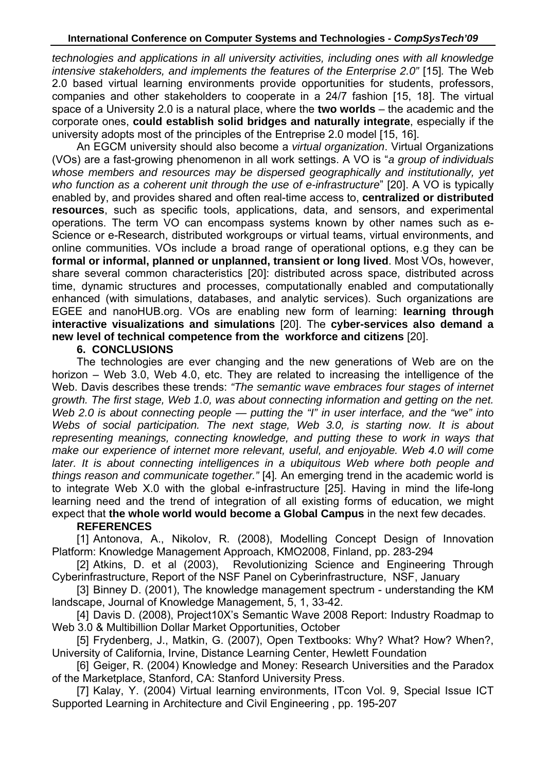*technologies and applications in all university activities, including ones with all knowledge intensive stakeholders, and implements the features of the Enterprise 2.0"* [15]. The Web 2.0 based virtual learning environments provide opportunities for students, professors, companies and other stakeholders to cooperate in a 24/7 fashion [15, 18]. The virtual space of a University 2.0 is a natural place, where the **two worlds** – the academic and the corporate ones, **could establish solid bridges and naturally integrate**, especially if the university adopts most of the principles of the Entreprise 2.0 model [15, 16].

An EGCM university should also become a *virtual organization*. Virtual Organizations (VOs) are a fast-growing phenomenon in all work settings. A VO is "*a group of individuals whose members and resources may be dispersed geographically and institutionally, yet who function as a coherent unit through the use of e-infrastructure*" [20]. A VO is typically enabled by, and provides shared and often real-time access to, **centralized or distributed resources**, such as specific tools, applications, data, and sensors, and experimental operations. The term VO can encompass systems known by other names such as e-Science or e-Research, distributed workgroups or virtual teams, virtual environments, and online communities. VOs include a broad range of operational options, e.g they can be **formal or informal, planned or unplanned, transient or long lived**. Most VOs, however, share several common characteristics [20]: distributed across space, distributed across time, dynamic structures and processes, computationally enabled and computationally enhanced (with simulations, databases, and analytic services). Such organizations are EGEE and nanoHUB.org. VOs are enabling new form of learning: **learning through interactive visualizations and simulations** [20]. The **cyber-services also demand a new level of technical competence from the workforce and citizens** [20].

#### **6. CONCLUSIONS**

The technologies are ever changing and the new generations of Web are on the horizon – Web 3.0, Web 4.0, etc. They are related to increasing the intelligence of the Web. Davis describes these trends: *"The semantic wave embraces four stages of internet growth. The first stage, Web 1.0, was about connecting information and getting on the net. Web 2.0 is about connecting people — putting the "I" in user interface, and the "we" into Webs of social participation. The next stage, Web 3.0, is starting now. It is about representing meanings, connecting knowledge, and putting these to work in ways that make our experience of internet more relevant, useful, and enjoyable. Web 4.0 will come*  later. It is about connecting intelligences in a ubiquitous Web where both people and *things reason and communicate together."* [4]*.* An emerging trend in the academic world is to integrate Web X.0 with the global e-infrastructure [25]. Having in mind the life-long learning need and the trend of integration of all existing forms of education, we might expect that **the whole world would become a Global Campus** in the next few decades.

### **REFERENCES**

[1] Antonova, A., Nikolov, R. (2008), Modelling Concept Design of Innovation Platform: Knowledge Management Approach, KMO2008, Finland, pp. 283-294

[2] Atkins, D. et al (2003), Revolutionizing Science and Engineering Through Cyberinfrastructure, Report of the NSF Panel on Cyberinfrastructure, NSF, January

[3] Binney D. (2001), The knowledge management spectrum - understanding the KM landscape, Journal of Knowledge Management, 5, 1, 33-42.

[4] Davis D. (2008), Project10X's Semantic Wave 2008 Report: Industry Roadmap to Web 3.0 & Multibillion Dollar Market Opportunities, October

[5] Frydenberg, J., Matkin, G. (2007), Open Textbooks: Why? What? How? When?, University of California, Irvine, Distance Learning Center, Hewlett Foundation

[6] Geiger, R. (2004) Knowledge and Money: Research Universities and the Paradox of the Marketplace, Stanford, CA: Stanford University Press.

[7] Kalay, Y. (2004) Virtual learning environments, ITcon Vol. 9, Special Issue ICT Supported Learning in Architecture and Civil Engineering , pp. 195-207